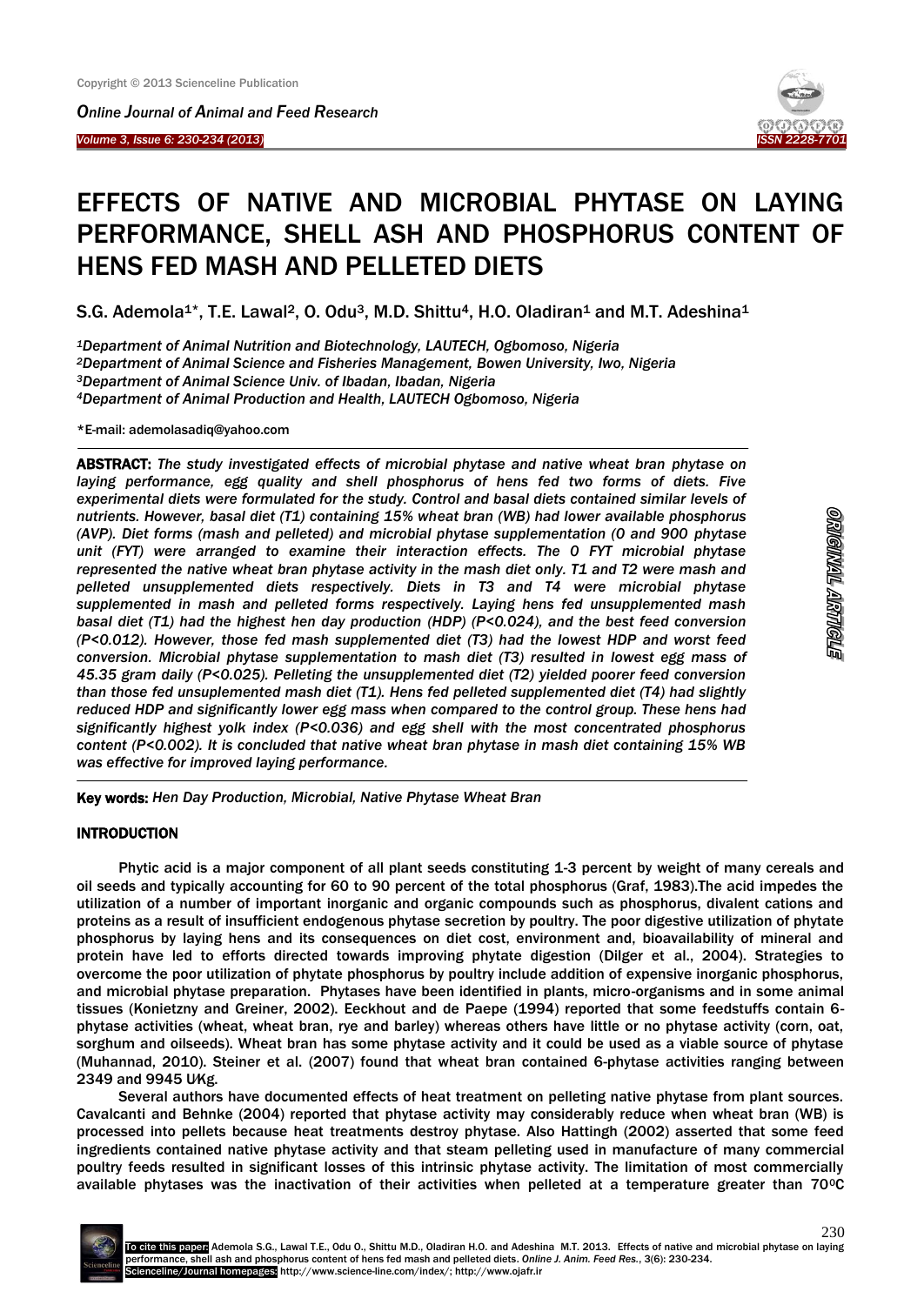*Online Journal of Animal and Feed Research* 

*Volume 3, Issue 6: 230-234 (2013)* 

Ī

 $\overline{\phantom{a}}$ 



# EFFECTS OF NATIVE AND MICROBIAL PHYTASE ON LAYING PERFORMANCE, SHELL ASH AND PHOSPHORUS CONTENT OF HENS FED MASH AND PELLETED DIETS

S.G. Ademola<sup>1\*</sup>, T.E. Lawal<sup>2</sup>, O. Odu<sup>3</sup>, M.D. Shittu<sup>4</sup>, H.O. Oladiran<sup>1</sup> and M.T. Adeshina<sup>1</sup>

*Department of Animal Nutrition and Biotechnology, LAUTECH, Ogbomoso, Nigeria Department of Animal Science and Fisheries Management, Bowen University, Iwo, Nigeria Department of Animal Science Univ. of Ibadan, Ibadan, Nigeria Department of Animal Production and Health, LAUTECH Ogbomoso, Nigeria* 

\*E-mail: [ademolasadiq@yahoo.com](mailto:ademolasadiq@yahoo.com)

ABSTRACT: *The study investigated effects of microbial phytase and native wheat bran phytase on*  laying performance, egg quality and shell phosphorus of hens fed two forms of diets. Five *experimental diets were formulated for the study. Control and basal diets contained similar levels of nutrients. However, basal diet (T1) containing 15% wheat bran (WB) had lower available phosphorus (AVP). Diet forms (mash and pelleted) and microbial phytase supplementation (0 and 900 phytase unit (FYT) were arranged to examine their interaction effects. The 0 FYT microbial phytase represented the native wheat bran phytase activity in the mash diet only. T1 and T2 were mash and pelleted unsupplemented diets respectively. Diets in T3 and T4 were microbial phytase supplemented in mash and pelleted forms respectively. Laying hens fed unsupplemented mash basal diet (T1) had the highest hen day production (HDP) (P<0.024), and the best feed conversion (P<0.012). However, those fed mash supplemented diet (T3) had the lowest HDP and worst feed conversion. Microbial phytase supplementation to mash diet (T3) resulted in lowest egg mass of 45.35 gram daily (P<0.025). Pelleting the unsupplemented diet (T2) yielded poorer feed conversion than those fed unsuplemented mash diet (T1). Hens fed pelleted supplemented diet (T4) had slightly reduced HDP and significantly lower egg mass when compared to the control group. These hens had significantly highest yolk index (P<0.036) and egg shell with the most concentrated phosphorus content (P<0.002). It is concluded that native wheat bran phytase in mash diet containing 15% WB was effective for improved laying performance.*

Key words: *Hen Day Production, Microbial, Native Phytase Wheat Bran*

# **INTRODUCTION**

-

Phytic acid is a major component of all plant seeds constituting 1-3 percent by weight of many cereals and oil seeds and typically accounting for 60 to 90 percent of the total phosphorus (Graf, 1983).The acid impedes the utilization of a number of important inorganic and organic compounds such as phosphorus, divalent cations and proteins as a result of insufficient endogenous phytase secretion by poultry. The poor digestive utilization of phytate phosphorus by laying hens and its consequences on diet cost, environment and, bioavailability of mineral and protein have led to efforts directed towards improving phytate digestion (Dilger et al., 2004). Strategies to overcome the poor utilization of phytate phosphorus by poultry include addition of expensive inorganic phosphorus, and microbial phytase preparation. Phytases have been identified in plants, micro-organisms and in some animal tissues (Konietzny and Greiner, 2002). Eeckhout and de Paepe (1994) reported that some feedstuffs contain 6 phytase activities (wheat, wheat bran, rye and barley) whereas others have little or no phytase activity (corn, oat, sorghum and oilseeds). Wheat bran has some phytase activity and it could be used as a viable source of phytase (Muhannad, 2010). Steiner et al. (2007) found that wheat bran contained 6-phytase activities ranging between 2349 and 9945 U∕Kg.

Several authors have documented effects of heat treatment on pelleting native phytase from plant sources. Cavalcanti and Behnke (2004) reported that phytase activity may considerably reduce when wheat bran (WB) is processed into pellets because heat treatments destroy phytase. Also Hattingh (2002) asserted that some feed ingredients contained native phytase activity and that steam pelleting used in manufacture of many commercial poultry feeds resulted in significant losses of this intrinsic phytase activity. The limitation of most commercially available phytases was the inactivation of their activities when pelleted at a temperature greater than 70°C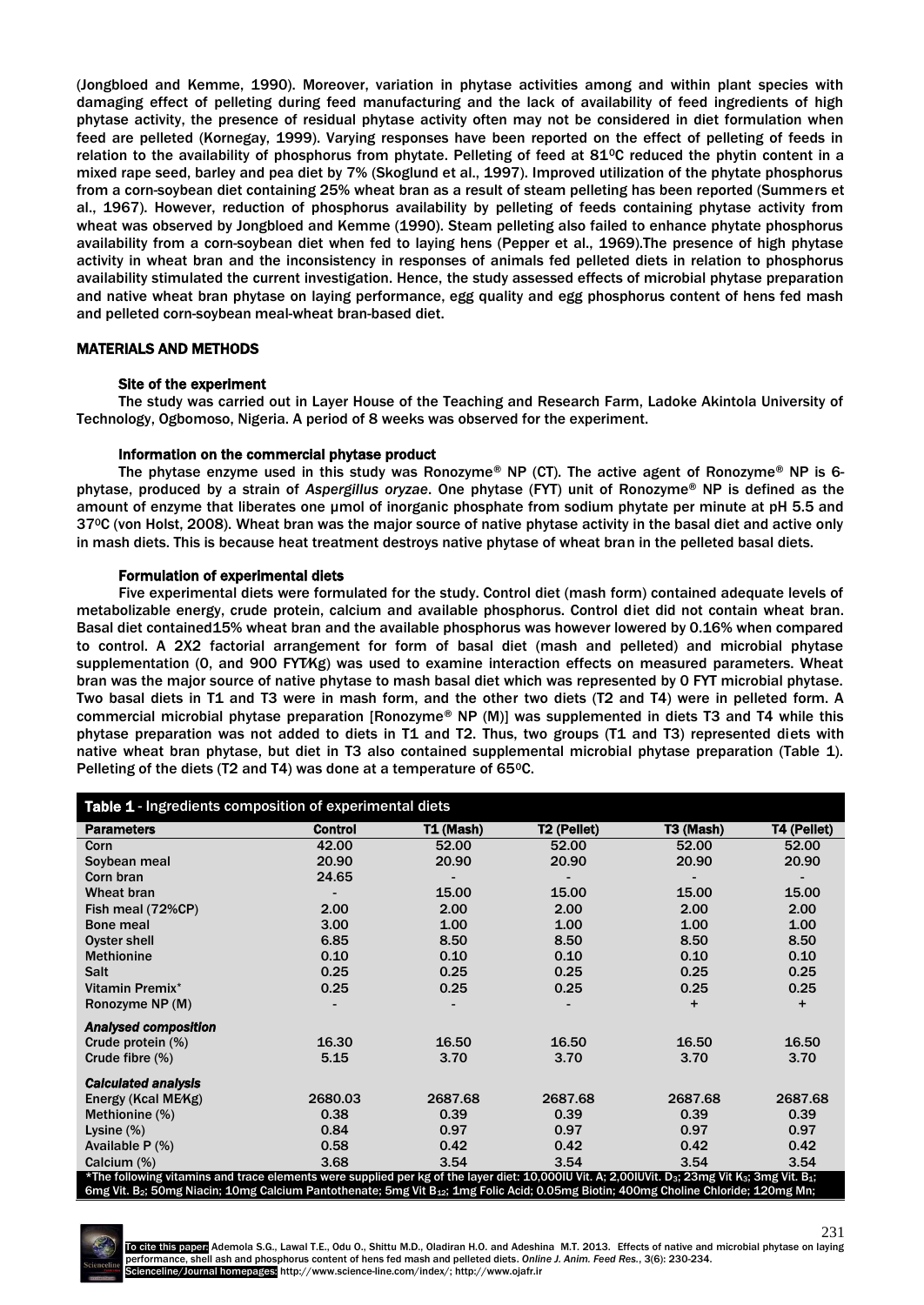(Jongbloed and Kemme, 1990). Moreover, variation in phytase activities among and within plant species with damaging effect of pelleting during feed manufacturing and the lack of availability of feed ingredients of high phytase activity, the presence of residual phytase activity often may not be considered in diet formulation when feed are pelleted (Kornegay, 1999). Varying responses have been reported on the effect of pelleting of feeds in relation to the availability of phosphorus from phytate. Pelleting of feed at 81 $\degree$ C reduced the phytin content in a mixed rape seed, barley and pea diet by 7% (Skoglund et al., 1997). Improved utilization of the phytate phosphorus from a corn-soybean diet containing 25% wheat bran as a result of steam pelleting has been reported (Summers et al., 1967). However, reduction of phosphorus availability by pelleting of feeds containing phytase activity from wheat was observed by Jongbloed and Kemme (1990). Steam pelleting also failed to enhance phytate phosphorus availability from a corn-soybean diet when fed to laying hens (Pepper et al., 1969).The presence of high phytase activity in wheat bran and the inconsistency in responses of animals fed pelleted diets in relation to phosphorus availability stimulated the current investigation. Hence, the study assessed effects of microbial phytase preparation and native wheat bran phytase on laying performance, egg quality and egg phosphorus content of hens fed mash and pelleted corn-soybean meal-wheat bran-based diet.

## MATERIALS AND METHODS

#### Site of the experiment

The study was carried out in Layer House of the Teaching and Research Farm, Ladoke Akintola University of Technology, Ogbomoso, Nigeria. A period of 8 weeks was observed for the experiment.

#### Information on the commercial phytase product

The phytase enzyme used in this study was Ronozyme® NP (CT). The active agent of Ronozyme® NP is 6 phytase, produced by a strain of *Aspergillus oryzae*. One phytase (FYT) unit of Ronozyme® NP is defined as the amount of enzyme that liberates one µmol of inorganic phosphate from sodium phytate per minute at pH 5.5 and 370C (von Holst, 2008). Wheat bran was the major source of native phytase activity in the basal diet and active only in mash diets. This is because heat treatment destroys native phytase of wheat bran in the pelleted basal diets.

#### Formulation of experimental diets

Five experimental diets were formulated for the study. Control diet (mash form) contained adequate levels of metabolizable energy, crude protein, calcium and available phosphorus. Control diet did not contain wheat bran. Basal diet contained15% wheat bran and the available phosphorus was however lowered by 0.16% when compared to control. A 2X2 factorial arrangement for form of basal diet (mash and pelleted) and microbial phytase supplementation (0, and 900 FYT∕Kg) was used to examine interaction effects on measured parameters. Wheat bran was the major source of native phytase to mash basal diet which was represented by 0 FYT microbial phytase. Two basal diets in T1 and T3 were in mash form, and the other two diets (T2 and T4) were in pelleted form. A commercial microbial phytase preparation [Ronozyme® NP (M)] was supplemented in diets T3 and T4 while this phytase preparation was not added to diets in T1 and T2. Thus, two groups (T1 and T3) represented diets with native wheat bran phytase, but diet in T3 also contained supplemental microbial phytase preparation (Table 1). Pelleting of the diets (T2 and T4) was done at a temperature of 65°C.

| Table 1 - Ingredients composition of experimental diets                                                                                                                             |                |                  |                         |           |                    |  |  |  |  |  |  |
|-------------------------------------------------------------------------------------------------------------------------------------------------------------------------------------|----------------|------------------|-------------------------|-----------|--------------------|--|--|--|--|--|--|
| <b>Parameters</b>                                                                                                                                                                   | <b>Control</b> | <b>T1 (Mash)</b> | T <sub>2</sub> (Pellet) | T3 (Mash) | <b>T4 (Pellet)</b> |  |  |  |  |  |  |
| Corn                                                                                                                                                                                | 42.00          | 52.00            | 52.00                   | 52.00     | 52.00              |  |  |  |  |  |  |
| Soybean meal                                                                                                                                                                        | 20.90          | 20.90            | 20.90                   | 20.90     | 20.90              |  |  |  |  |  |  |
| Corn bran                                                                                                                                                                           | 24.65          |                  |                         |           |                    |  |  |  |  |  |  |
| Wheat bran                                                                                                                                                                          |                | 15.00            | 15.00                   | 15.00     | 15.00              |  |  |  |  |  |  |
| Fish meal (72%CP)                                                                                                                                                                   | 2.00           | 2.00             | 2.00                    | 2.00      | 2.00               |  |  |  |  |  |  |
| <b>Bone meal</b>                                                                                                                                                                    | 3.00           | 1.00             | 1.00                    | 1.00      | 1.00               |  |  |  |  |  |  |
| Oyster shell                                                                                                                                                                        | 6.85           | 8.50             | 8.50                    | 8.50      | 8.50               |  |  |  |  |  |  |
| <b>Methionine</b>                                                                                                                                                                   | 0.10           | 0.10             | 0.10                    | 0.10      | 0.10               |  |  |  |  |  |  |
| <b>Salt</b>                                                                                                                                                                         | 0.25           | 0.25             | 0.25                    | 0.25      | 0.25               |  |  |  |  |  |  |
| Vitamin Premix*                                                                                                                                                                     | 0.25           | 0.25             | 0.25                    | 0.25      | 0.25               |  |  |  |  |  |  |
| Ronozyme NP (M)                                                                                                                                                                     |                |                  |                         | $\ddot{}$ | $+$                |  |  |  |  |  |  |
| <b>Analysed composition</b>                                                                                                                                                         |                |                  |                         |           |                    |  |  |  |  |  |  |
| Crude protein (%)                                                                                                                                                                   | 16.30          | 16.50            | 16.50                   | 16.50     | 16.50              |  |  |  |  |  |  |
| Crude fibre $(\%)$                                                                                                                                                                  | 5.15           | 3.70             | 3.70                    | 3.70      | 3.70               |  |  |  |  |  |  |
| <b>Calculated analysis</b>                                                                                                                                                          |                |                  |                         |           |                    |  |  |  |  |  |  |
| Energy (Kcal ME/Kg)                                                                                                                                                                 | 2680.03        | 2687.68          | 2687.68                 | 2687.68   | 2687.68            |  |  |  |  |  |  |
| Methionine (%)                                                                                                                                                                      | 0.38           | 0.39             | 0.39                    | 0.39      | 0.39               |  |  |  |  |  |  |
| Lysine $(\%)$                                                                                                                                                                       | 0.84           | 0.97             | 0.97                    | 0.97      | 0.97               |  |  |  |  |  |  |
| Available $P$ $(\%)$                                                                                                                                                                | 0.58           | 0.42             | 0.42                    | 0.42      | 0.42               |  |  |  |  |  |  |
| Calcium (%)                                                                                                                                                                         | 3.68           | 3.54             | 3.54                    | 3.54      | 3.54               |  |  |  |  |  |  |
| *The following vitamins and trace elements were supplied per kg of the layer diet: 10,000IU Vit. A; 2,00IUVit. D <sub>3</sub> ; 23mg Vit K <sub>3</sub> ; 3mg Vit. B <sub>1</sub> ; |                |                  |                         |           |                    |  |  |  |  |  |  |
| 6mg Vit. B <sub>2</sub> ; 50mg Niacin; 10mg Calcium Pantothenate; 5mg Vit B <sub>12</sub> ; 1mg Folic Acid; 0.05mg Biotin; 400mg Choline Chloride; 120mg Mn;                        |                |                  |                         |           |                    |  |  |  |  |  |  |

231 To cite this paper: Ademola S.G., Lawal T.E., Odu O., Shittu M.D., Oladiran H.O. and Adeshina M.T. 2013. Effects of native and microbial phytase on laying performance, shell ash and phosphorus content of hens fed mash and pelleted diets. *Online J. Anim. Feed Res.*, 3(6): 230-234. Scienceline/Journal homepages: http://www.science-line.com/index/; http://www.ojafr.ir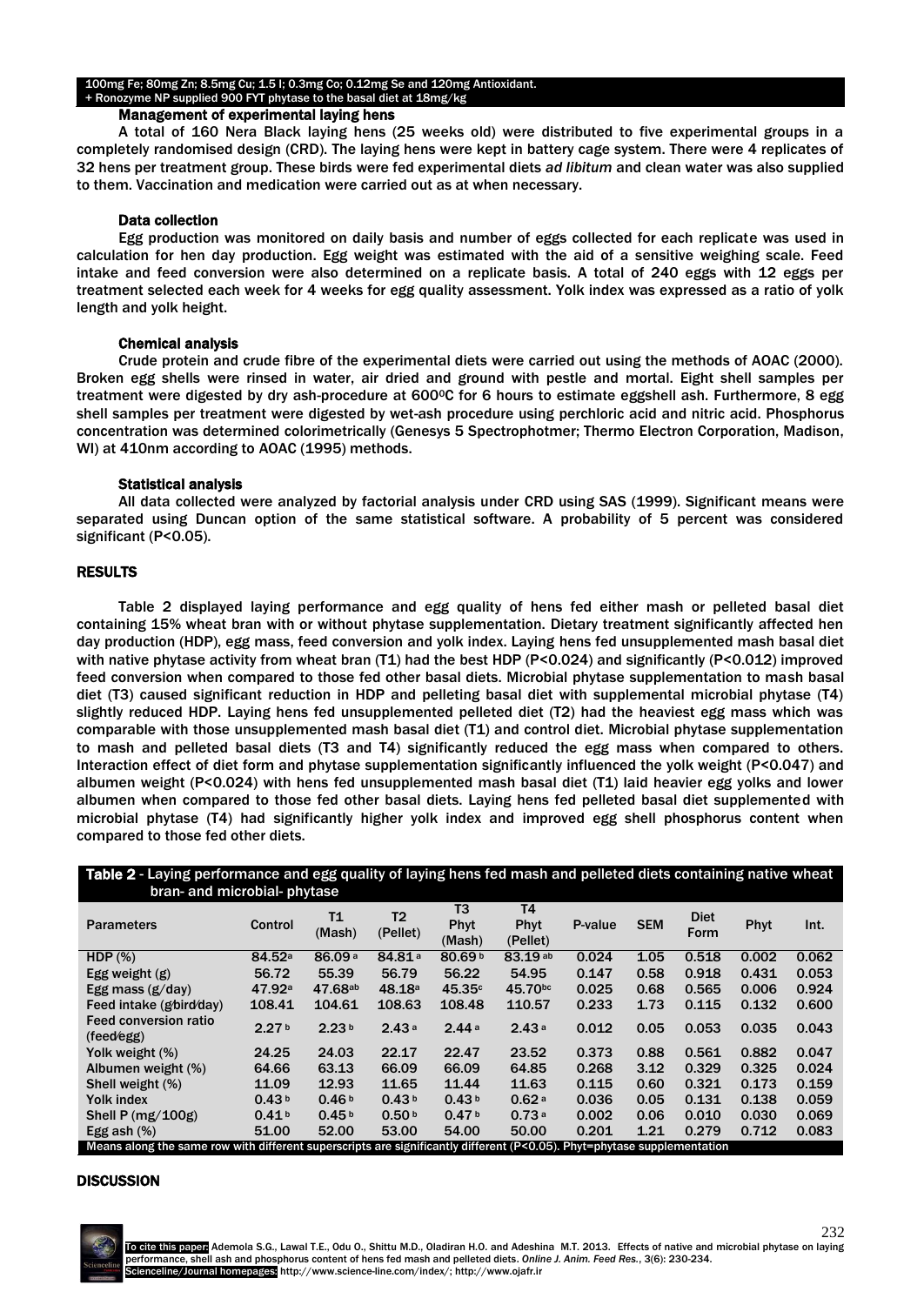#### 100mg Fe; 80mg Zn; 8.5mg Cu; 1.5 I; 0.3mg Co; 0.12mg Se and 120mg Antioxidant. + Ronozyme NP supplied 900 FYT phytase to the basal diet at 18mg/kg

## Management of experimental laying hens

A total of 160 Nera Black laying hens (25 weeks old) were distributed to five experimental groups in a completely randomised design (CRD). The laying hens were kept in battery cage system. There were 4 replicates of 32 hens per treatment group. These birds were fed experimental diets *ad libitum* and clean water was also supplied to them. Vaccination and medication were carried out as at when necessary.

## Data collection

Egg production was monitored on daily basis and number of eggs collected for each replicate was used in calculation for hen day production. Egg weight was estimated with the aid of a sensitive weighing scale. Feed intake and feed conversion were also determined on a replicate basis. A total of 240 eggs with 12 eggs per treatment selected each week for 4 weeks for egg quality assessment. Yolk index was expressed as a ratio of yolk length and yolk height.

## Chemical analysis

Crude protein and crude fibre of the experimental diets were carried out using the methods of AOAC (2000). Broken egg shells were rinsed in water, air dried and ground with pestle and mortal. Eight shell samples per treatment were digested by dry ash-procedure at 600°C for 6 hours to estimate eggshell ash. Furthermore, 8 egg shell samples per treatment were digested by wet-ash procedure using perchloric acid and nitric acid. Phosphorus concentration was determined colorimetrically (Genesys 5 Spectrophotmer; Thermo Electron Corporation, Madison, WI) at 410nm according to AOAC (1995) methods.

## Statistical analysis

All data collected were analyzed by factorial analysis under CRD using SAS (1999). Significant means were separated using Duncan option of the same statistical software. A probability of 5 percent was considered significant (P<0.05).

# RESULTS

Table 2 displayed laying performance and egg quality of hens fed either mash or pelleted basal diet containing 15% wheat bran with or without phytase supplementation. Dietary treatment significantly affected hen day production (HDP), egg mass, feed conversion and yolk index. Laying hens fed unsupplemented mash basal diet with native phytase activity from wheat bran (T1) had the best HDP (P<0.024) and significantly (P<0.012) improved feed conversion when compared to those fed other basal diets. Microbial phytase supplementation to mash basal diet (T3) caused significant reduction in HDP and pelleting basal diet with supplemental microbial phytase (T4) slightly reduced HDP. Laying hens fed unsupplemented pelleted diet (T2) had the heaviest egg mass which was comparable with those unsupplemented mash basal diet (T1) and control diet. Microbial phytase supplementation to mash and pelleted basal diets (T3 and T4) significantly reduced the egg mass when compared to others. Interaction effect of diet form and phytase supplementation significantly influenced the yolk weight (P<0.047) and albumen weight (P<0.024) with hens fed unsupplemented mash basal diet (T1) laid heavier egg yolks and lower albumen when compared to those fed other basal diets. Laying hens fed pelleted basal diet supplemented with microbial phytase (T4) had significantly higher yolk index and improved egg shell phosphorus content when compared to those fed other diets.

| Table 2 - Laying performance and egg quality of laying hens fed mash and pelleted diets containing native wheat<br>bran- and microbial- phytase |                    |                    |                            |                      |                               |         |            |                     |       |       |  |
|-------------------------------------------------------------------------------------------------------------------------------------------------|--------------------|--------------------|----------------------------|----------------------|-------------------------------|---------|------------|---------------------|-------|-------|--|
| <b>Parameters</b>                                                                                                                               | Control            | Τ1<br>(Mash)       | T <sub>2</sub><br>(Pellet) | T3<br>Phyt<br>(Mash) | <b>T4</b><br>Phyt<br>(Pellet) | P-value | <b>SEM</b> | <b>Diet</b><br>Form | Phyt  | Int.  |  |
| HDP $(%)$                                                                                                                                       | 84.52 <sup>a</sup> | 86.09 <sup>a</sup> | 84.81 <sup>a</sup>         | 80.69b               | 83.19 ab                      | 0.024   | 1.05       | 0.518               | 0.002 | 0.062 |  |
| Egg weight $(g)$                                                                                                                                | 56.72              | 55.39              | 56.79                      | 56.22                | 54.95                         | 0.147   | 0.58       | 0.918               | 0.431 | 0.053 |  |
| Egg mass $(g/day)$                                                                                                                              | 47.92 <sup>a</sup> | 47.68ab            | 48.18a                     | 45.35c               | 45.70bc                       | 0.025   | 0.68       | 0.565               | 0.006 | 0.924 |  |
| Feed intake (g/bird/day)                                                                                                                        | 108.41             | 104.61             | 108.63                     | 108.48               | 110.57                        | 0.233   | 1.73       | 0.115               | 0.132 | 0.600 |  |
| <b>Feed conversion ratio</b><br>(feedback)                                                                                                      | 2.27 <sup>b</sup>  | 2.23 <sup>b</sup>  | 2.43a                      | 2.44a                | 2.43a                         | 0.012   | 0.05       | 0.053               | 0.035 | 0.043 |  |
| Yolk weight (%)                                                                                                                                 | 24.25              | 24.03              | 22.17                      | 22.47                | 23.52                         | 0.373   | 0.88       | 0.561               | 0.882 | 0.047 |  |
| Albumen weight (%)                                                                                                                              | 64.66              | 63.13              | 66.09                      | 66.09                | 64.85                         | 0.268   | 3.12       | 0.329               | 0.325 | 0.024 |  |
| Shell weight (%)                                                                                                                                | 11.09              | 12.93              | 11.65                      | 11.44                | 11.63                         | 0.115   | 0.60       | 0.321               | 0.173 | 0.159 |  |
| Yolk index                                                                                                                                      | 0.43 <sup>b</sup>  | 0.46 <sup>b</sup>  | 0.43 <sup>b</sup>          | 0.43 <sup>b</sup>    | 0.62a                         | 0.036   | 0.05       | 0.131               | 0.138 | 0.059 |  |
| Shell P $(mg/100g)$                                                                                                                             | 0.41 <sup>b</sup>  | 0.45 <sup>b</sup>  | 0.50 <sup>b</sup>          | 0.47 <sup>b</sup>    | 0.73a                         | 0.002   | 0.06       | 0.010               | 0.030 | 0.069 |  |
| Egg ash $(\%)$                                                                                                                                  | 51.00              | 52.00              | 53.00                      | 54.00                | 50.00                         | 0.201   | 1.21       | 0.279               | 0.712 | 0.083 |  |
| Means along the same row with different superscripts are significantly different (P<0.05). Phyt=phytase supplementation                         |                    |                    |                            |                      |                               |         |            |                     |       |       |  |

#### **DISCUSSION**

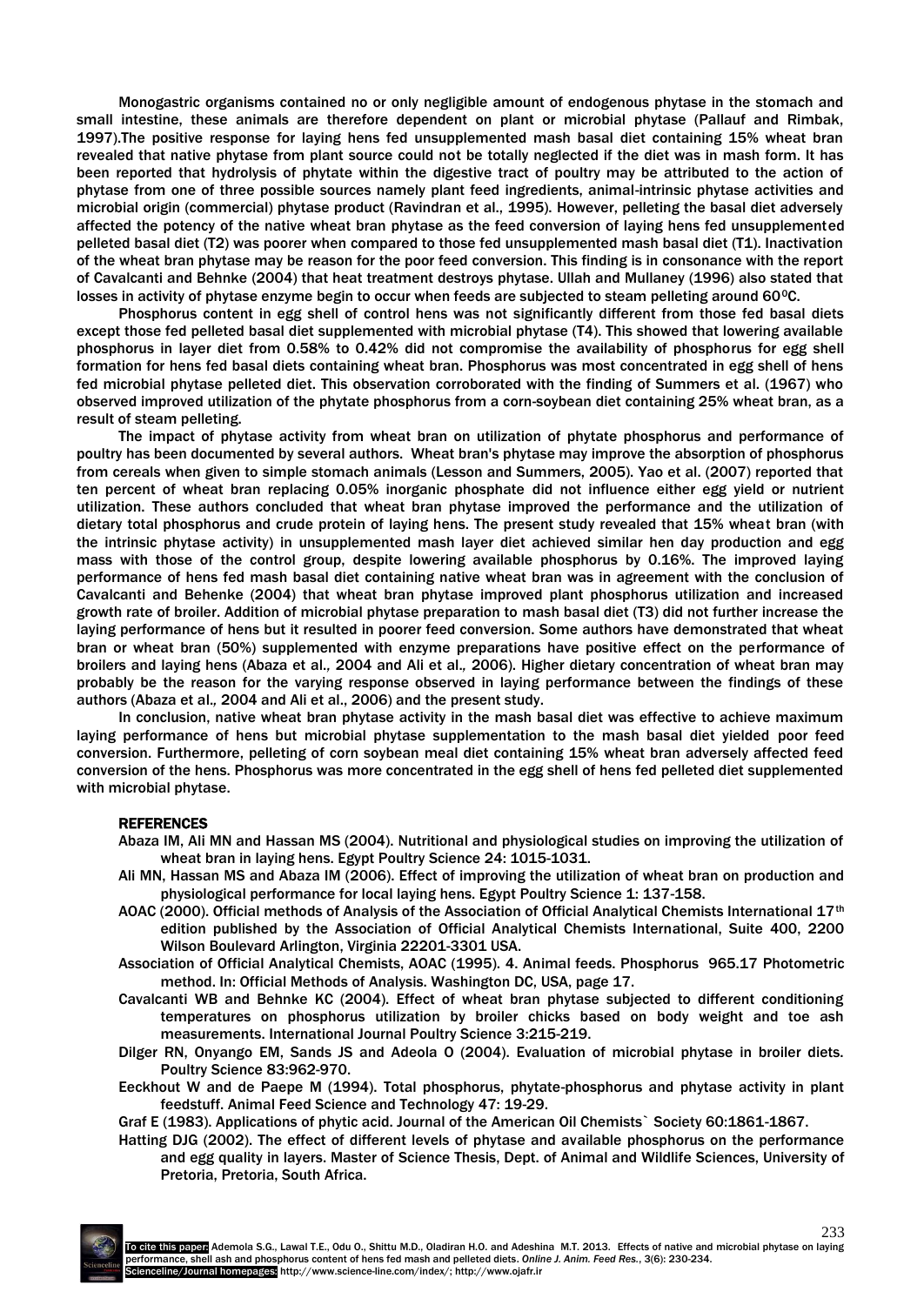Monogastric organisms contained no or only negligible amount of endogenous phytase in the stomach and small intestine, these animals are therefore dependent on plant or microbial phytase (Pallauf and Rimbak, 1997).The positive response for laying hens fed unsupplemented mash basal diet containing 15% wheat bran revealed that native phytase from plant source could not be totally neglected if the diet was in mash form. It has been reported that hydrolysis of phytate within the digestive tract of poultry may be attributed to the action of phytase from one of three possible sources namely plant feed ingredients, animal-intrinsic phytase activities and microbial origin (commercial) phytase product (Ravindran et al., 1995). However, pelleting the basal diet adversely affected the potency of the native wheat bran phytase as the feed conversion of laying hens fed unsupplemented pelleted basal diet (T2) was poorer when compared to those fed unsupplemented mash basal diet (T1). Inactivation of the wheat bran phytase may be reason for the poor feed conversion. This finding is in consonance with the report of Cavalcanti and Behnke (2004) that heat treatment destroys phytase. Ullah and Mullaney (1996) also stated that losses in activity of phytase enzyme begin to occur when feeds are subjected to steam pelleting around 60°C.

Phosphorus content in egg shell of control hens was not significantly different from those fed basal diets except those fed pelleted basal diet supplemented with microbial phytase (T4). This showed that lowering available phosphorus in layer diet from 0.58% to 0.42% did not compromise the availability of phosphorus for egg shell formation for hens fed basal diets containing wheat bran. Phosphorus was most concentrated in egg shell of hens fed microbial phytase pelleted diet. This observation corroborated with the finding of Summers et al. (1967) who observed improved utilization of the phytate phosphorus from a corn-soybean diet containing 25% wheat bran, as a result of steam pelleting.

The impact of phytase activity from wheat bran on utilization of phytate phosphorus and performance of poultry has been documented by several authors. Wheat bran's phytase may improve the absorption of phosphorus from cereals when given to simple stomach animals (Lesson and Summers, 2005). Yao et al. (2007) reported that ten percent of wheat bran replacing 0.05% inorganic phosphate did not influence either egg yield or nutrient utilization. These authors concluded that wheat bran phytase improved the performance and the utilization of dietary total phosphorus and crude protein of laying hens. The present study revealed that 15% wheat bran (with the intrinsic phytase activity) in unsupplemented mash layer diet achieved similar hen day production and egg mass with those of the control group, despite lowering available phosphorus by 0.16%. The improved laying performance of hens fed mash basal diet containing native wheat bran was in agreement with the conclusion of Cavalcanti and Behenke (2004) that wheat bran phytase improved plant phosphorus utilization and increased growth rate of broiler. Addition of microbial phytase preparation to mash basal diet (T3) did not further increase the laying performance of hens but it resulted in poorer feed conversion. Some authors have demonstrated that wheat bran or wheat bran (50%) supplemented with enzyme preparations have positive effect on the performance of broilers and laying hens (Abaza et al.*,* 2004 and Ali et al.*,* 2006). Higher dietary concentration of wheat bran may probably be the reason for the varying response observed in laying performance between the findings of these authors (Abaza et al.*,* 2004 and Ali et al., 2006) and the present study.

In conclusion, native wheat bran phytase activity in the mash basal diet was effective to achieve maximum laying performance of hens but microbial phytase supplementation to the mash basal diet yielded poor feed conversion. Furthermore, pelleting of corn soybean meal diet containing 15% wheat bran adversely affected feed conversion of the hens. Phosphorus was more concentrated in the egg shell of hens fed pelleted diet supplemented with microbial phytase.

#### REFERENCES

- Abaza IM, Ali MN and Hassan MS (2004). Nutritional and physiological studies on improving the utilization of wheat bran in laying hens. Egypt Poultry Science 24: 1015-1031.
- Ali MN, Hassan MS and Abaza IM (2006). Effect of improving the utilization of wheat bran on production and physiological performance for local laying hens. Egypt Poultry Science 1: 137-158.
- AOAC (2000). Official methods of Analysis of the Association of Official Analytical Chemists International 17<sup>th</sup> edition published by the Association of Official Analytical Chemists International, Suite 400, 2200 Wilson Boulevard Arlington, Virginia 22201-3301 USA.
- Association of Official Analytical Chemists, AOAC (1995). 4. Animal feeds. Phosphorus 965.17 Photometric method. In: Official Methods of Analysis. Washington DC, USA, page 17.
- Cavalcanti WB and Behnke KC (2004). Effect of wheat bran phytase subjected to different conditioning temperatures on phosphorus utilization by broiler chicks based on body weight and toe ash measurements. International Journal Poultry Science 3:215-219.
- Dilger RN, Onyango EM, Sands JS and Adeola O (2004). Evaluation of microbial phytase in broiler diets. Poultry Science 83:962-970.
- Eeckhout W and de Paepe M (1994). Total phosphorus, phytate-phosphorus and phytase activity in plant feedstuff. Animal Feed Science and Technology 47: 19-29.

Graf E (1983). Applications of phytic acid. Journal of the American Oil Chemists` Society 60:1861-1867.

Hatting DJG (2002). The effect of different levels of phytase and available phosphorus on the performance and egg quality in layers. Master of Science Thesis, Dept. of Animal and Wildlife Sciences, University of Pretoria, Pretoria, South Africa.